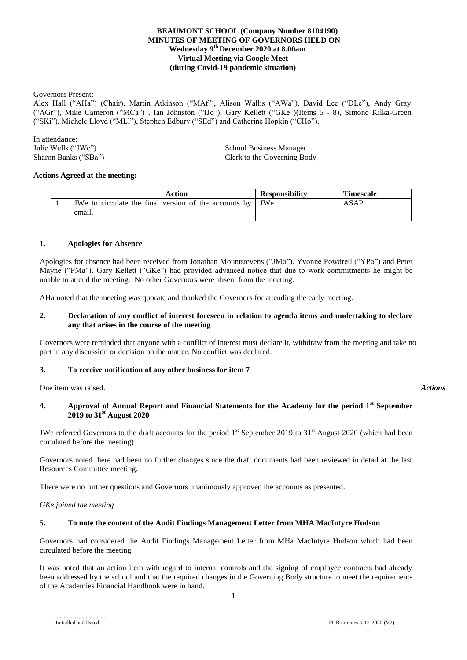# **BEAUMONT SCHOOL (Company Number 8104190) MINUTES OF MEETING OF GOVERNORS HELD ON Wednesday 9 th December 2020 at 8.00am Virtual Meeting via Google Meet (during Covid-19 pandemic situation)**

Governors Present:

Alex Hall ("AHa") (Chair), Martin Atkinson ("MAt"), Alison Wallis ("AWa"), David Lee ("DLe"), Andy Gray ("AGr"), Mike Cameron ("MCa") , Ian Johnston ("IJo"), Gary Kellett ("GKe")(Items 5 - 8), Simone Kilka-Green ("SKi"), Michele Lloyd ("MLl"), Stephen Edbury ("SEd") and Catherine Hopkin ("CHo").

In attendance:

Julie Wells ("JWe")<br>
School Business Manager<br>
School Business Manager<br>
Clerk to the Governing Bo Clerk to the Governing Body

#### **Actions Agreed at the meeting:**

| Action                                                                  | <b>Responsibility</b> | <b>Timescale</b> |
|-------------------------------------------------------------------------|-----------------------|------------------|
| <b>JWe</b> to circulate the final version of the accounts by <b>JWe</b> |                       | ASAP             |
| email.                                                                  |                       |                  |

#### **1. Apologies for Absence**

Apologies for absence had been received from Jonathan Mountstevens ("JMo"), Yvonne Powdrell ("YPo") and Peter Mayne ("PMa"). Gary Kellett ("GKe") had provided advanced notice that due to work commitments he might be unable to attend the meeting. No other Governors were absent from the meeting.

AHa noted that the meeting was quorate and thanked the Governors for attending the early meeting.

#### **2. Declaration of any conflict of interest foreseen in relation to agenda items and undertaking to declare any that arises in the course of the meeting**

Governors were reminded that anyone with a conflict of interest must declare it, withdraw from the meeting and take no part in any discussion or decision on the matter. No conflict was declared.

# **3. To receive notification of any other business for item 7**

One item was raised. *Actions*

# **4. Approval of Annual Report and Financial Statements for the Academy for the period 1st September 2019 to 31st August 2020**

JWe referred Governors to the draft accounts for the period  $1<sup>st</sup>$  September 2019 to 31 $<sup>st</sup>$  August 2020 (which had been</sup> circulated before the meeting).

Governors noted there had been no further changes since the draft documents had been reviewed in detail at the last Resources Committee meeting.

There were no further questions and Governors unanimously approved the accounts as presented.

#### *GKe joined the meeting*

# **5. To note the content of the Audit Findings Management Letter from MHA MacIntyre Hudson**

Governors had considered the Audit Findings Management Letter from MHa MacIntyre Hudson which had been circulated before the meeting.

It was noted that an action item with regard to internal controls and the signing of employee contracts had already been addressed by the school and that the required changes in the Governing Body structure to meet the requirements of the Academies Financial Handbook were in hand.

1